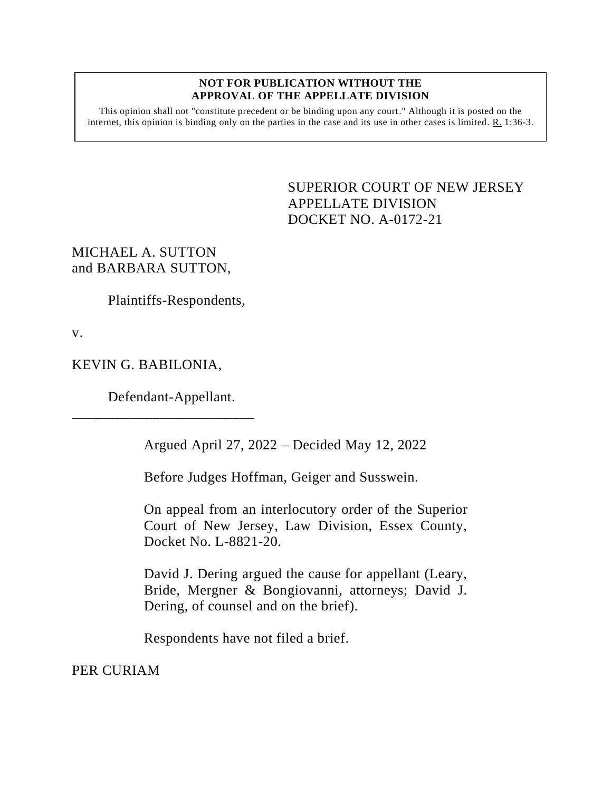#### **NOT FOR PUBLICATION WITHOUT THE APPROVAL OF THE APPELLATE DIVISION**

This opinion shall not "constitute precedent or be binding upon any court." Although it is posted on the internet, this opinion is binding only on the parties in the case and its use in other cases is limited.  $R_1$  1:36-3.

> <span id="page-0-0"></span>SUPERIOR COURT OF NEW JERSEY APPELLATE DIVISION DOCKET NO. A-0172-21

MICHAEL A. SUTTON and BARBARA SUTTON,

Plaintiffs-Respondents,

v.

KEVIN G. BABILONIA,

Defendant-Appellant.

\_\_\_\_\_\_\_\_\_\_\_\_\_\_\_\_\_\_\_\_\_\_\_\_\_

Argued April 27, 2022 – Decided May 12, 2022

Before Judges Hoffman, Geiger and Susswein.

On appeal from an interlocutory order of the Superior Court of New Jersey, Law Division, Essex County, Docket No. L-8821-20.

David J. Dering argued the cause for appellant (Leary, Bride, Mergner & Bongiovanni, attorneys; David J. Dering, of counsel and on the brief).

Respondents have not filed a brief.

PER CURIAM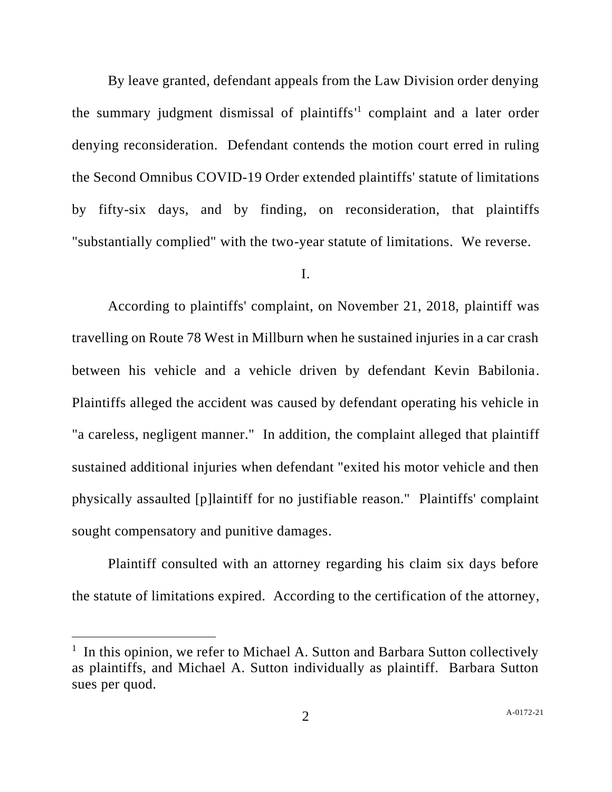By leave granted, defendant appeals from the Law Division order denying the summary judgment dismissal of plaintiffs' 1 complaint and a later order denying reconsideration. Defendant contends the motion court erred in ruling the Second Omnibus COVID-19 Order extended plaintiffs' statute of limitations by fifty-six days, and by finding, on reconsideration, that plaintiffs "substantially complied" with the two-year statute of limitations. We reverse.

I.

According to plaintiffs' complaint, on November 21, 2018, plaintiff was travelling on Route 78 West in Millburn when he sustained injuries in a car crash between his vehicle and a vehicle driven by defendant Kevin Babilonia. Plaintiffs alleged the accident was caused by defendant operating his vehicle in "a careless, negligent manner." In addition, the complaint alleged that plaintiff sustained additional injuries when defendant "exited his motor vehicle and then physically assaulted [p]laintiff for no justifiable reason." Plaintiffs' complaint sought compensatory and punitive damages.

Plaintiff consulted with an attorney regarding his claim six days before the statute of limitations expired. According to the certification of the attorney,

<sup>&</sup>lt;sup>1</sup> In this opinion, we refer to Michael A. Sutton and Barbara Sutton collectively as plaintiffs, and Michael A. Sutton individually as plaintiff. Barbara Sutton sues per quod.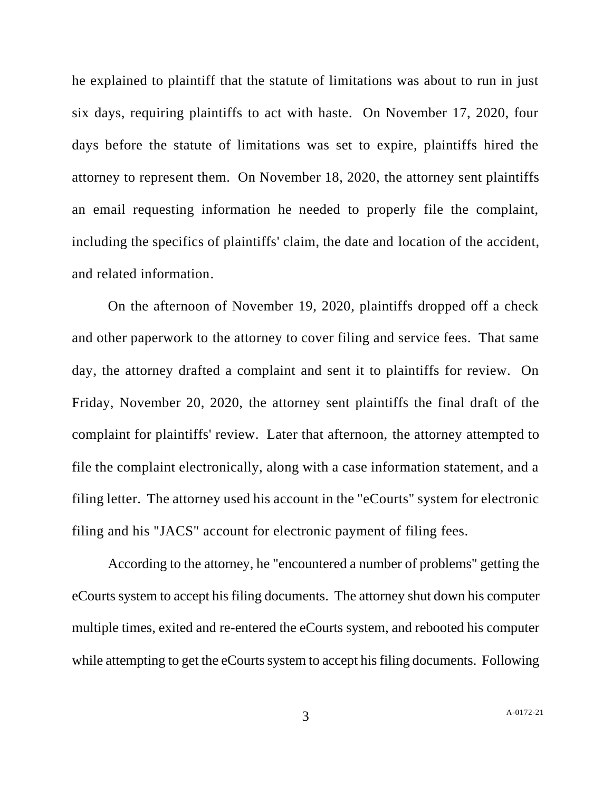he explained to plaintiff that the statute of limitations was about to run in just six days, requiring plaintiffs to act with haste. On November 17, 2020, four days before the statute of limitations was set to expire, plaintiffs hired the attorney to represent them. On November 18, 2020, the attorney sent plaintiffs an email requesting information he needed to properly file the complaint, including the specifics of plaintiffs' claim, the date and location of the accident, and related information.

On the afternoon of November 19, 2020, plaintiffs dropped off a check and other paperwork to the attorney to cover filing and service fees. That same day, the attorney drafted a complaint and sent it to plaintiffs for review. On Friday, November 20, 2020, the attorney sent plaintiffs the final draft of the complaint for plaintiffs' review. Later that afternoon, the attorney attempted to file the complaint electronically, along with a case information statement, and a filing letter. The attorney used his account in the "eCourts" system for electronic filing and his "JACS" account for electronic payment of filing fees.

According to the attorney, he "encountered a number of problems" getting the eCourts system to accept his filing documents. The attorney shut down his computer multiple times, exited and re-entered the eCourts system, and rebooted his computer while attempting to get the eCourts system to accept his filing documents. Following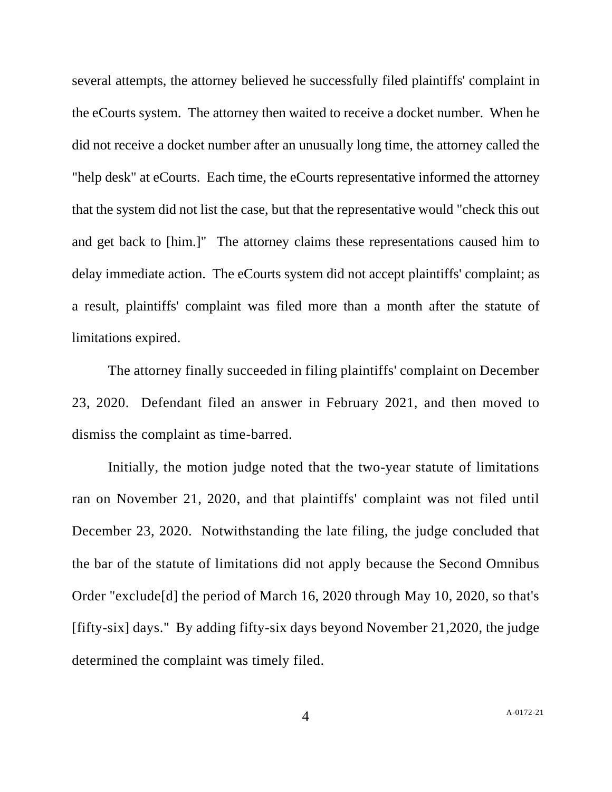several attempts, the attorney believed he successfully filed plaintiffs' complaint in the eCourts system. The attorney then waited to receive a docket number. When he did not receive a docket number after an unusually long time, the attorney called the "help desk" at eCourts. Each time, the eCourts representative informed the attorney that the system did not list the case, but that the representative would "check this out and get back to [him.]" The attorney claims these representations caused him to delay immediate action. The eCourts system did not accept plaintiffs' complaint; as a result, plaintiffs' complaint was filed more than a month after the statute of limitations expired.

The attorney finally succeeded in filing plaintiffs' complaint on December 23, 2020. Defendant filed an answer in February 2021, and then moved to dismiss the complaint as time-barred.

Initially, the motion judge noted that the two-year statute of limitations ran on November 21, 2020, and that plaintiffs' complaint was not filed until December 23, 2020. Notwithstanding the late filing, the judge concluded that the bar of the statute of limitations did not apply because the Second Omnibus Order "exclude[d] the period of March 16, 2020 through May 10, 2020, so that's [fifty-six] days." By adding fifty-six days beyond November 21,2020, the judge determined the complaint was timely filed.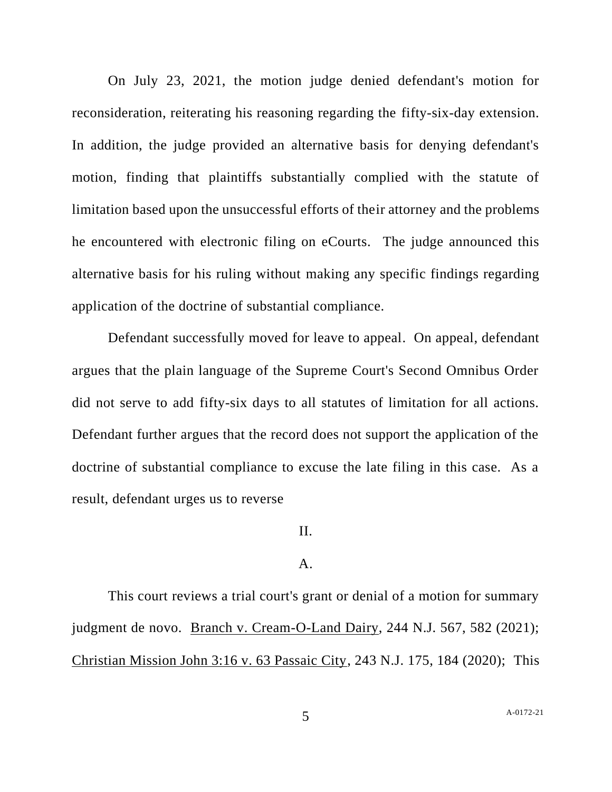On July 23, 2021, the motion judge denied defendant's motion for reconsideration, reiterating his reasoning regarding the fifty-six-day extension. In addition, the judge provided an alternative basis for denying defendant's motion, finding that plaintiffs substantially complied with the statute of limitation based upon the unsuccessful efforts of their attorney and the problems he encountered with electronic filing on eCourts. The judge announced this alternative basis for his ruling without making any specific findings regarding application of the doctrine of substantial compliance.

Defendant successfully moved for leave to appeal. On appeal, defendant argues that the plain language of the Supreme Court's Second Omnibus Order did not serve to add fifty-six days to all statutes of limitation for all actions. Defendant further argues that the record does not support the application of the doctrine of substantial compliance to excuse the late filing in this case. As a result, defendant urges us to reverse

# II.

## A.

This court reviews a trial court's grant or denial of a motion for summary judgment de novo. Branch v. Cream-O-Land Dairy, 244 N.J. 567, 582 (2021); Christian Mission John 3:16 v. 63 Passaic City, 243 N.J. 175, 184 (2020); This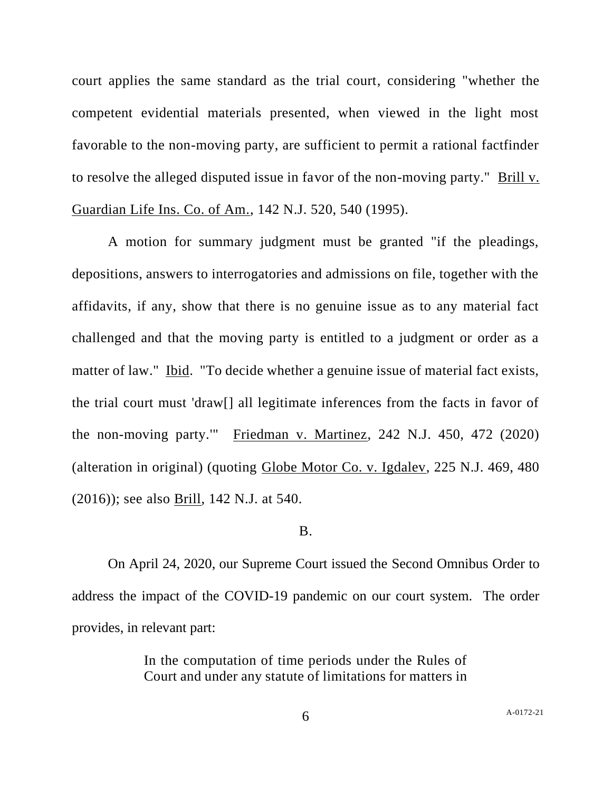court applies the same standard as the trial court, considering "whether the competent evidential materials presented, when viewed in the light most favorable to the non-moving party, are sufficient to permit a rational factfinder to resolve the alleged disputed issue in favor of the non-moving party." Brill v. Guardian Life Ins. Co. of Am., 142 N.J. 520, 540 (1995).

A motion for summary judgment must be granted "if the pleadings, depositions, answers to interrogatories and admissions on file, together with the affidavits, if any, show that there is no genuine issue as to any material fact challenged and that the moving party is entitled to a judgment or order as a matter of law." Ibid. "To decide whether a genuine issue of material fact exists, the trial court must 'draw[] all legitimate inferences from the facts in favor of the non-moving party.'" Friedman v. Martinez, 242 N.J. 450, 472 (2020) (alteration in original) (quoting Globe Motor Co. v. Igdalev, 225 N.J. 469, 480 (2016)); see also Brill, 142 N.J. at 540.

#### B.

On April 24, 2020, our Supreme Court issued the Second Omnibus Order to address the impact of the COVID-19 pandemic on our court system. The order provides, in relevant part:

> In the computation of time periods under the Rules of Court and under any statute of limitations for matters in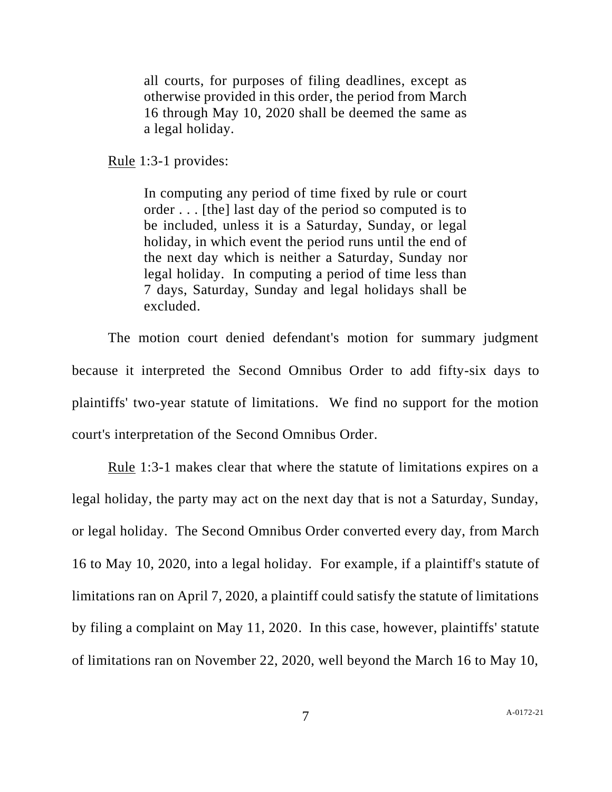all courts, for purposes of filing deadlines, except as otherwise provided in this order, the period from March 16 through May 10, 2020 shall be deemed the same as a legal holiday.

Rule 1:3-1 provides:

In computing any period of time fixed by rule or court order . . . [the] last day of the period so computed is to be included, unless it is a Saturday, Sunday, or legal holiday, in which event the period runs until the end of the next day which is neither a Saturday, Sunday nor legal holiday. In computing a period of time less than 7 days, Saturday, Sunday and legal holidays shall be excluded.

The motion court denied defendant's motion for summary judgment because it interpreted the Second Omnibus Order to add fifty-six days to plaintiffs' two-year statute of limitations. We find no support for the motion court's interpretation of the Second Omnibus Order.

Rule 1:3-1 makes clear that where the statute of limitations expires on a legal holiday, the party may act on the next day that is not a Saturday, Sunday, or legal holiday. The Second Omnibus Order converted every day, from March 16 to May 10, 2020, into a legal holiday. For example, if a plaintiff's statute of limitations ran on April 7, 2020, a plaintiff could satisfy the statute of limitations by filing a complaint on May 11, 2020. In this case, however, plaintiffs' statute of limitations ran on November 22, 2020, well beyond the March 16 to May 10,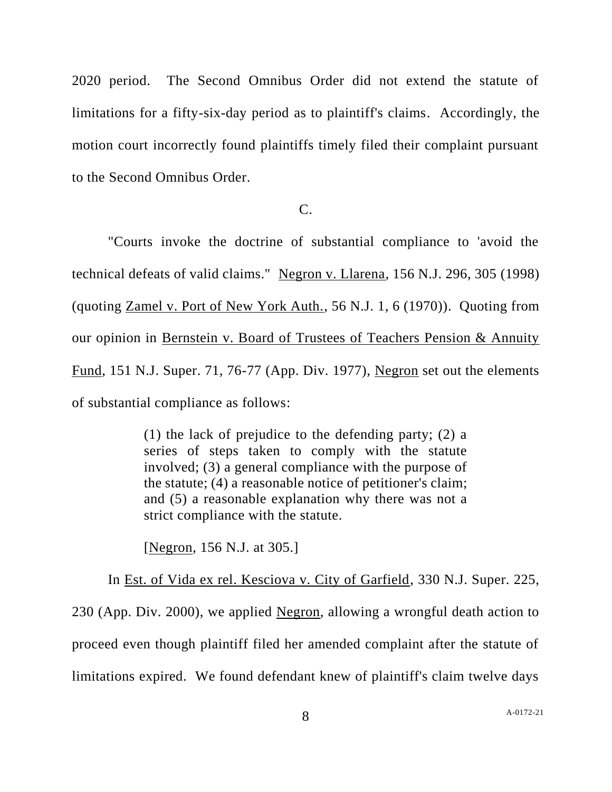2020 period. The Second Omnibus Order did not extend the statute of limitations for a fifty-six-day period as to plaintiff's claims. Accordingly, the motion court incorrectly found plaintiffs timely filed their complaint pursuant to the Second Omnibus Order.

## C.

"Courts invoke the doctrine of substantial compliance to 'avoid the technical defeats of valid claims." Negron v. Llarena, 156 N.J. 296, 305 (1998) (quoting Zamel v. Port of New York Auth., 56 N.J. 1, 6 (1970)). Quoting from our opinion in Bernstein v. Board of Trustees of Teachers Pension & Annuity Fund, 151 N.J. Super. 71, 76-77 (App. Div. 1977), Negron set out the elements of substantial compliance as follows:

> (1) the lack of prejudice to the defending party; (2) a series of steps taken to comply with the statute involved; (3) a general compliance with the purpose of the statute; (4) a reasonable notice of petitioner's claim; and (5) a reasonable explanation why there was not a strict compliance with the statute.

[Negron, 156 N.J. at 305.]

In Est. of Vida ex rel. Kesciova v. City of Garfield, 330 N.J. Super. 225, 230 (App. Div. 2000), we applied Negron, allowing a wrongful death action to proceed even though plaintiff filed her amended complaint after the statute of limitations expired. We found defendant knew of plaintiff's claim twelve days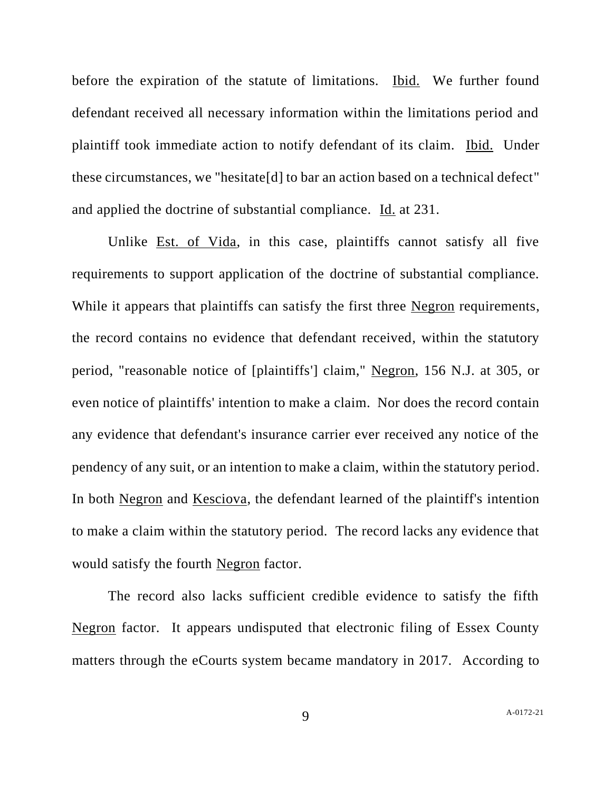before the expiration of the statute of limitations. Ibid. We further found defendant received all necessary information within the limitations period and plaintiff took immediate action to notify defendant of its claim. Ibid. Under these circumstances, we "hesitate[d] to bar an action based on a technical defect" and applied the doctrine of substantial compliance. Id. at 231.

Unlike Est. of Vida, in this case, plaintiffs cannot satisfy all five requirements to support application of the doctrine of substantial compliance. While it appears that plaintiffs can satisfy the first three Negron requirements, the record contains no evidence that defendant received, within the statutory period, "reasonable notice of [plaintiffs'] claim," Negron, 156 N.J. at 305, or even notice of plaintiffs' intention to make a claim. Nor does the record contain any evidence that defendant's insurance carrier ever received any notice of the pendency of any suit, or an intention to make a claim, within the statutory period. In both Negron and Kesciova, the defendant learned of the plaintiff's intention to make a claim within the statutory period. The record lacks any evidence that would satisfy the fourth Negron factor.

The record also lacks sufficient credible evidence to satisfy the fifth Negron factor. It appears undisputed that electronic filing of Essex County matters through the eCourts system became mandatory in 2017. According to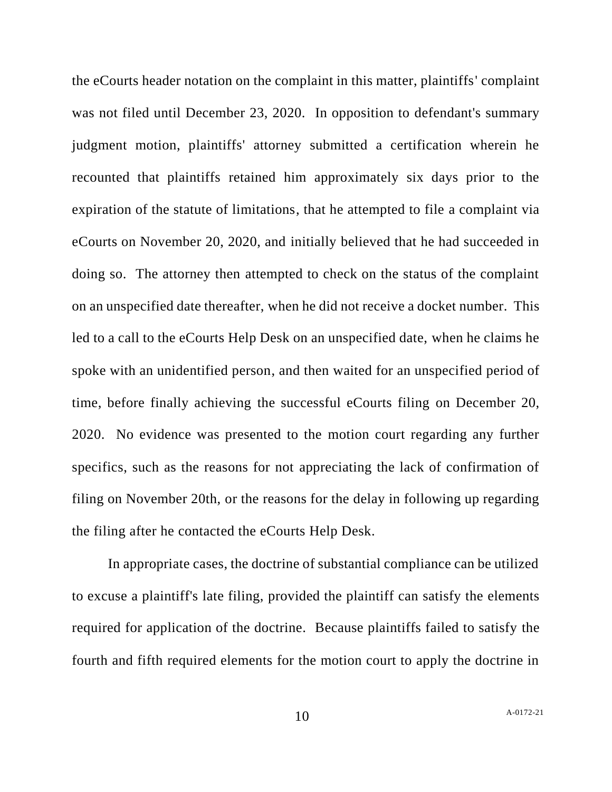the eCourts header notation on the complaint in this matter, plaintiffs' complaint was not filed until December 23, 2020. In opposition to defendant's summary judgment motion, plaintiffs' attorney submitted a certification wherein he recounted that plaintiffs retained him approximately six days prior to the expiration of the statute of limitations, that he attempted to file a complaint via eCourts on November 20, 2020, and initially believed that he had succeeded in doing so. The attorney then attempted to check on the status of the complaint on an unspecified date thereafter, when he did not receive a docket number. This led to a call to the eCourts Help Desk on an unspecified date, when he claims he spoke with an unidentified person, and then waited for an unspecified period of time, before finally achieving the successful eCourts filing on December 20, 2020. No evidence was presented to the motion court regarding any further specifics, such as the reasons for not appreciating the lack of confirmation of filing on November 20th, or the reasons for the delay in following up regarding the filing after he contacted the eCourts Help Desk.

In appropriate cases, the doctrine of substantial compliance can be utilized to excuse a plaintiff's late filing, provided the plaintiff can satisfy the elements required for application of the doctrine. Because plaintiffs failed to satisfy the fourth and fifth required elements for the motion court to apply the doctrine in